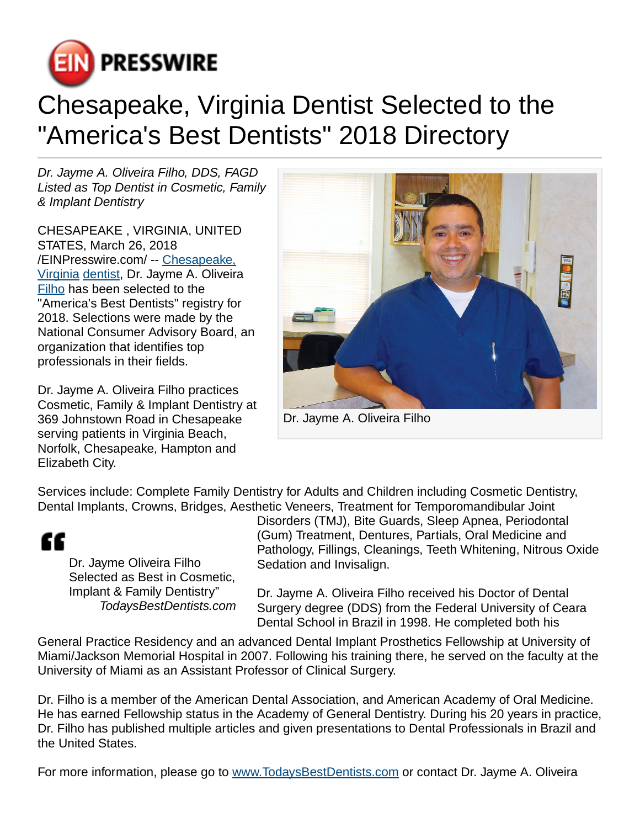

## Chesapeake, Virginia Dentist Selected to the "America's Best Dentists" 2018 Directory

Dr. Jayme A. Oliveira Filho, DDS, FAGD Listed as Top Dentist in Cosmetic, Family & Implant Dentistry

CHESAPEAKE , VIRGINIA, UNITED STATES, March 26, 2018 [/EINPresswire.com](http://www.einpresswire.com)/ -- [Chesapeake,](http://alencarfamilydentistry.com) [Virginia](http://alencarfamilydentistry.com) [dentist,](http://alencarfamilydentistry.com) Dr. Jayme A. Oliveira [Filho](http://alencarfamilydentistry.com) has been selected to the "America's Best Dentists" registry for 2018. Selections were made by the National Consumer Advisory Board, an organization that identifies top professionals in their fields.

Dr. Jayme A. Oliveira Filho practices Cosmetic, Family & Implant Dentistry at 369 Johnstown Road in Chesapeake serving patients in Virginia Beach, Norfolk, Chesapeake, Hampton and Elizabeth City.



Dr. Jayme A. Oliveira Filho

Services include: Complete Family Dentistry for Adults and Children including Cosmetic Dentistry, Dental Implants, Crowns, Bridges, Aesthetic Veneers, Treatment for Temporomandibular Joint

## ££

Dr. Jayme Oliveira Filho Selected as Best in Cosmetic, Implant & Family Dentistry" TodaysBestDentists.com Disorders (TMJ), Bite Guards, Sleep Apnea, Periodontal (Gum) Treatment, Dentures, Partials, Oral Medicine and Pathology, Fillings, Cleanings, Teeth Whitening, Nitrous Oxide Sedation and Invisalign.

Dr. Jayme A. Oliveira Filho received his Doctor of Dental Surgery degree (DDS) from the Federal University of Ceara Dental School in Brazil in 1998. He completed both his

General Practice Residency and an advanced Dental Implant Prosthetics Fellowship at University of Miami/Jackson Memorial Hospital in 2007. Following his training there, he served on the faculty at the University of Miami as an Assistant Professor of Clinical Surgery.

Dr. Filho is a member of the American Dental Association, and American Academy of Oral Medicine. He has earned Fellowship status in the Academy of General Dentistry. During his 20 years in practice, Dr. Filho has published multiple articles and given presentations to Dental Professionals in Brazil and the United States.

For more information, please go to [www.TodaysBestDentists.com](http://www.TodaysBestDentists.com) or contact Dr. Jayme A. Oliveira